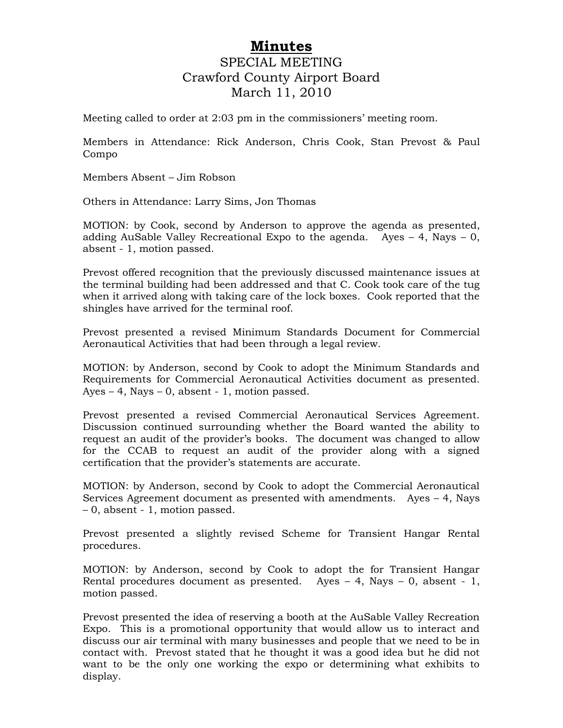## **Minutes** SPECIAL MEETING Crawford County Airport Board March 11, 2010

Meeting called to order at 2:03 pm in the commissioners' meeting room.

Members in Attendance: Rick Anderson, Chris Cook, Stan Prevost & Paul Compo

Members Absent – Jim Robson

Others in Attendance: Larry Sims, Jon Thomas

MOTION: by Cook, second by Anderson to approve the agenda as presented, adding AuSable Valley Recreational Expo to the agenda. Ayes – 4, Nays – 0, absent - 1, motion passed.

Prevost offered recognition that the previously discussed maintenance issues at the terminal building had been addressed and that C. Cook took care of the tug when it arrived along with taking care of the lock boxes. Cook reported that the shingles have arrived for the terminal roof.

Prevost presented a revised Minimum Standards Document for Commercial Aeronautical Activities that had been through a legal review.

MOTION: by Anderson, second by Cook to adopt the Minimum Standards and Requirements for Commercial Aeronautical Activities document as presented. Ayes  $-4$ , Nays  $-0$ , absent  $-1$ , motion passed.

Prevost presented a revised Commercial Aeronautical Services Agreement. Discussion continued surrounding whether the Board wanted the ability to request an audit of the provider's books. The document was changed to allow for the CCAB to request an audit of the provider along with a signed certification that the provider's statements are accurate.

MOTION: by Anderson, second by Cook to adopt the Commercial Aeronautical Services Agreement document as presented with amendments. Ayes – 4, Nays – 0, absent - 1, motion passed.

Prevost presented a slightly revised Scheme for Transient Hangar Rental procedures.

MOTION: by Anderson, second by Cook to adopt the for Transient Hangar Rental procedures document as presented. Ayes  $-4$ , Nays  $-0$ , absent  $-1$ , motion passed.

Prevost presented the idea of reserving a booth at the AuSable Valley Recreation Expo. This is a promotional opportunity that would allow us to interact and discuss our air terminal with many businesses and people that we need to be in contact with. Prevost stated that he thought it was a good idea but he did not want to be the only one working the expo or determining what exhibits to display.